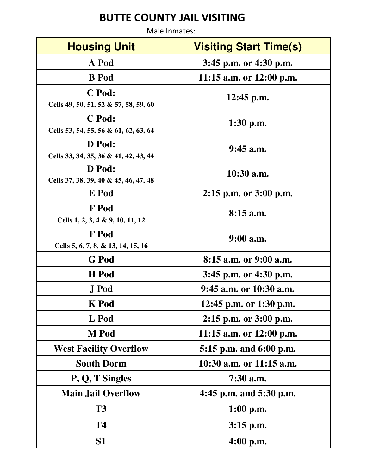## **BUTTE COUNTY JAIL VISITING**

Male Inmates: **Housing Unit Start Time(s) A Pod 3:45 p.m. or 4:30 p.m. B Pod 11:15 a.m. or 12:00 p.m. C Pod: Cells 49, 50, 51, 52 & 57, 58, 59, 60 12:45 p.m. C Pod: Cells 53, 54, 55, 56 & 61, 62, 63, 64 1:30 p.m. D Pod: Cells 33, 34, 35, 36 & 41, 42, 43, 44 9:45 a.m. D Pod: Cells 37, 38, 39, 40 & 45, 46, 47, 48 10:30 a.m. E Pod 2:15 p.m. or 3:00 p.m. F Pod Cells 1, 2, 3, 4 & 9, 10, 11, 12 8:15 a.m. F Pod Cells 5, 6, 7, 8, & 13, 14, 15, 16 9:00 a.m. G Pod 8:15 a.m. or 9:00 a.m. H Pod 3:45 p.m. or 4:30 p.m. J Pod 9:45 a.m. or 10:30 a.m. K Pod 12:45 p.m. or 1:30 p.m. L Pod 2:15 p.m. or 3:00 p.m. M Pod 11:15 a.m. or 12:00 p.m. West Facility Overflow 5:15 p.m. and 6:00 p.m. South Dorm 10:30 a.m. or 11:15 a.m. P, Q, T Singles 7:30 a.m. Main Jail Overflow 4:45 p.m. and 5:30 p.m. T3 1:00 p.m. T4 3:15 p.m. S1 4:00 p.m.**